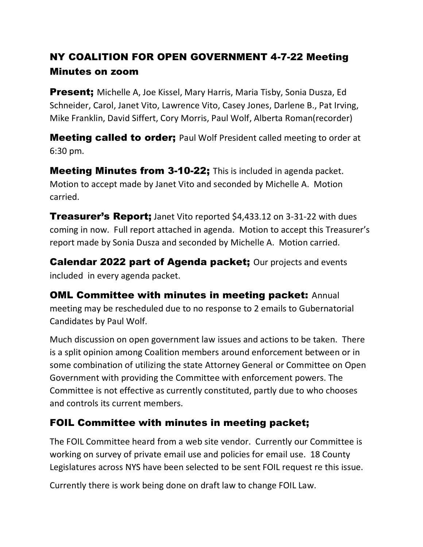# NY COALITION FOR OPEN GOVERNMENT 4-7-22 Meeting Minutes on zoom

**Present;** Michelle A, Joe Kissel, Mary Harris, Maria Tisby, Sonia Dusza, Ed Schneider, Carol, Janet Vito, Lawrence Vito, Casey Jones, Darlene B., Pat Irving, Mike Franklin, David Siffert, Cory Morris, Paul Wolf, Alberta Roman(recorder)

**Meeting called to order;** Paul Wolf President called meeting to order at 6:30 pm.

**Meeting Minutes from 3-10-22;** This is included in agenda packet. Motion to accept made by Janet Vito and seconded by Michelle A. Motion carried.

**Treasurer's Report;** Janet Vito reported \$4,433.12 on 3-31-22 with dues coming in now. Full report attached in agenda. Motion to accept this Treasurer's report made by Sonia Dusza and seconded by Michelle A. Motion carried.

Calendar 2022 part of Agenda packet; Our projects and events included in every agenda packet.

**OML Committee with minutes in meeting packet: Annual** meeting may be rescheduled due to no response to 2 emails to Gubernatorial Candidates by Paul Wolf.

Much discussion on open government law issues and actions to be taken. There is a split opinion among Coalition members around enforcement between or in some combination of utilizing the state Attorney General or Committee on Open Government with providing the Committee with enforcement powers. The Committee is not effective as currently constituted, partly due to who chooses and controls its current members.

# FOIL Committee with minutes in meeting packet;

The FOIL Committee heard from a web site vendor. Currently our Committee is working on survey of private email use and policies for email use. 18 County Legislatures across NYS have been selected to be sent FOIL request re this issue.

Currently there is work being done on draft law to change FOIL Law.